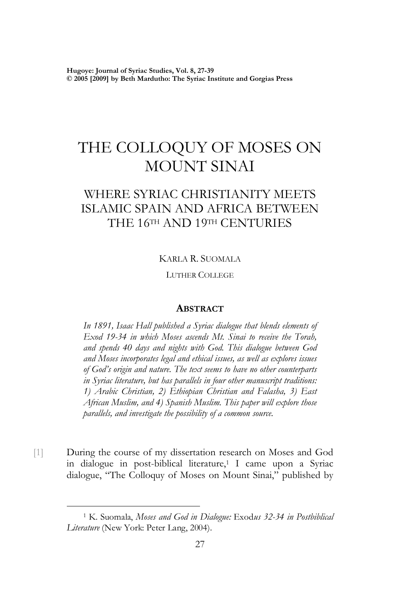**Hugoye: Journal of Syriac Studies, Vol. 8, 27-39 © 2005 [2009] by Beth Mardutho: The Syriac Institute and Gorgias Press** 

# THE COLLOQUY OF MOSES ON MOUNT SINAI

## WHERE SYRIAC CHRISTIANITY MEETS ISLAMIC SPAIN AND AFRICA BETWEEN THE 16TH AND 19TH CENTURIES

KARLA R. SUOMALA

LUTHER COLLEGE

#### **ABSTRACT**

*In 1891, Isaac Hall published a Syriac dialogue that blends elements of Exod 19-34 in which Moses ascends Mt. Sinai to receive the Torah, and spends 40 days and nights with God. This dialogue between God and Moses incorporates legal and ethical issues, as well as explores issues of God's origin and nature. The text seems to have no other counterparts in Syriac literature, but has parallels in four other manuscript traditions: 1) Arabic Christian, 2) Ethiopian Christian and Falasha, 3) East African Muslim, and 4) Spanish Muslim. This paper will explore those parallels, and investigate the possibility of a common source.* 

[1] During the course of my dissertation research on Moses and God in dialogue in post-biblical literature,<sup>1</sup> I came upon a Syriac dialogue, "The Colloquy of Moses on Mount Sinai," published by

 <sup>1</sup> K. Suomala, *Moses and God in Dialogue:* Exod*us 32-34 in Postbiblical Literature* (New York: Peter Lang, 2004).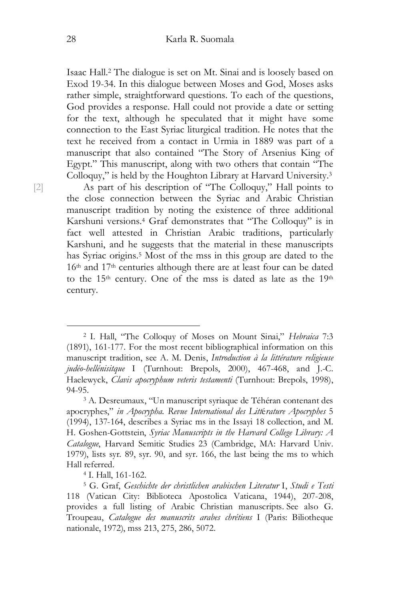Isaac Hall.2 The dialogue is set on Mt. Sinai and is loosely based on Exod 19-34. In this dialogue between Moses and God, Moses asks rather simple, straightforward questions. To each of the questions, God provides a response. Hall could not provide a date or setting for the text, although he speculated that it might have some connection to the East Syriac liturgical tradition. He notes that the text he received from a contact in Urmia in 1889 was part of a manuscript that also contained "The Story of Arsenius King of Egypt." This manuscript, along with two others that contain "The Colloquy," is held by the Houghton Library at Harvard University.3

[2] As part of his description of "The Colloquy," Hall points to the close connection between the Syriac and Arabic Christian manuscript tradition by noting the existence of three additional Karshuni versions.4 Graf demonstrates that "The Colloquy" is in fact well attested in Christian Arabic traditions, particularly Karshuni, and he suggests that the material in these manuscripts has Syriac origins.5 Most of the mss in this group are dated to the 16th and 17th centuries although there are at least four can be dated to the 15<sup>th</sup> century. One of the mss is dated as late as the 19<sup>th</sup> century.

 <sup>2</sup> I. Hall, "The Colloquy of Moses on Mount Sinai," *Hebraica* 7:3 (1891), 161-177. For the most recent bibliographical information on this manuscript tradition, see A. M. Denis, *Introduction à la littérature religieuse judéo-hellénisitque* I (Turnhout: Brepols, 2000), 467-468, and J.-C. Haelewyck, *Clavis apocryphum veteris testamenti* (Turnhout: Brepols, 1998), 94-95.<br><sup>3</sup> A. Desreumaux, "Un manuscript syriaque de Téhéran contenant des

apocryphes," *in Apocrypha. Revue International des Litt*é*rature Apocryphes* 5 (1994), 137-164, describes a Syriac ms in the Issayi 18 collection, and M. H. Goshen-Gottstein, *Syriac Manuscripts in the Harvard College Library: A Catalogue*, Harvard Semitic Studies 23 (Cambridge, MA: Harvard Univ. 1979), lists syr. 89, syr. 90, and syr. 166, the last being the ms to which Hall referred. 4 I. Hall, 161-162.

<sup>5</sup> G. Graf, *Geschichte der christlichen arabischen Literatur* I, *Studi e Testi* 118 (Vatican City: Biblioteca Apostolica Vaticana, 1944), 207-208, provides a full listing of Arabic Christian manuscripts. See also G. Troupeau, *Catalogue des manuscrits arabes chrétiens* I (Paris: Biliotheque nationale, 1972), mss 213, 275, 286, 5072.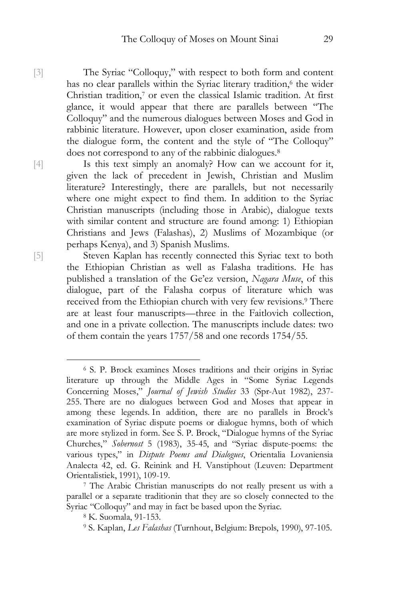[3] The Syriac "Colloquy," with respect to both form and content has no clear parallels within the Syriac literary tradition,<sup>6</sup> the wider Christian tradition,7 or even the classical Islamic tradition. At first glance, it would appear that there are parallels between "The Colloquy" and the numerous dialogues between Moses and God in rabbinic literature. However, upon closer examination, aside from the dialogue form, the content and the style of "The Colloquy" does not correspond to any of the rabbinic dialogues.<sup>8</sup>

[4] Is this text simply an anomaly? How can we account for it, given the lack of precedent in Jewish, Christian and Muslim literature? Interestingly, there are parallels, but not necessarily where one might expect to find them. In addition to the Syriac Christian manuscripts (including those in Arabic), dialogue texts with similar content and structure are found among: 1) Ethiopian Christians and Jews (Falashas), 2) Muslims of Mozambique (or perhaps Kenya), and 3) Spanish Muslims.

[5] Steven Kaplan has recently connected this Syriac text to both the Ethiopian Christian as well as Falasha traditions. He has published a translation of the Ge'ez version, *Nagara Muse*, of this dialogue, part of the Falasha corpus of literature which was received from the Ethiopian church with very few revisions.9 There are at least four manuscripts—three in the Faitlovich collection, and one in a private collection. The manuscripts include dates: two of them contain the years 1757/58 and one records 1754/55.

 <sup>6</sup> S. P. Brock examines Moses traditions and their origins in Syriac literature up through the Middle Ages in "Some Syriac Legends Concerning Moses," *Journal of Jewish Studies* 33 (Spr-Aut 1982), 237- 255. There are no dialogues between God and Moses that appear in among these legends. In addition, there are no parallels in Brock's examination of Syriac dispute poems or dialogue hymns, both of which are more stylized in form. See S. P. Brock, "Dialogue hymns of the Syriac Churches," *Sobernost* 5 (1983), 35-45, and "Syriac dispute-poems: the various types," in *Dispute Poems and Dialogues*, Orientalia Lovaniensia Analecta 42, ed. G. Reinink and H. Vanstiphout (Leuven: Department Orientalistiek, 1991), 109-19.<br><sup>7</sup> The Arabic Christian manuscripts do not really present us with a

parallel or a separate traditionin that they are so closely connected to the Syriac "Colloquy" and may in fact be based upon the Syriac. 8 K. Suomala, 91-153.

<sup>9</sup> S. Kaplan, *Les Falashas* (Turnhout, Belgium: Brepols, 1990), 97-105.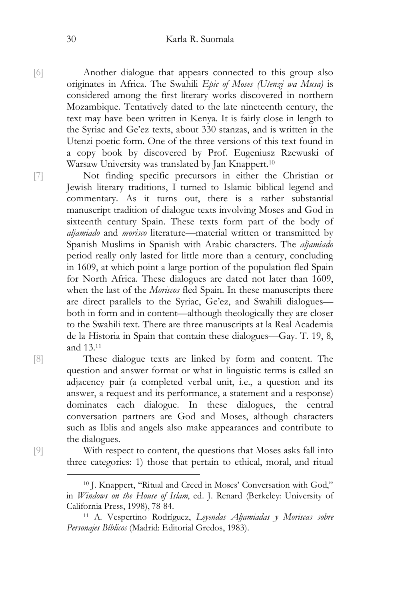[6] Another dialogue that appears connected to this group also originates in Africa. The Swahili *Epic of Moses (Utenzi wa Musa)* is considered among the first literary works discovered in northern Mozambique. Tentatively dated to the late nineteenth century, the text may have been written in Kenya. It is fairly close in length to the Syriac and Ge'ez texts, about 330 stanzas, and is written in the Utenzi poetic form. One of the three versions of this text found in a copy book by discovered by Prof. Eugeniusz Rzewuski of Warsaw University was translated by Jan Knappert.10

[7] Not finding specific precursors in either the Christian or Jewish literary traditions, I turned to Islamic biblical legend and commentary. As it turns out, there is a rather substantial manuscript tradition of dialogue texts involving Moses and God in sixteenth century Spain. These texts form part of the body of *aljamiado* and *morisco* literature—material written or transmitted by Spanish Muslims in Spanish with Arabic characters. The *aljamiado* period really only lasted for little more than a century, concluding in 1609, at which point a large portion of the population fled Spain for North Africa. These dialogues are dated not later than 1609, when the last of the *Moriscos* fled Spain. In these manuscripts there are direct parallels to the Syriac, Ge'ez, and Swahili dialogues both in form and in content—although theologically they are closer to the Swahili text. There are three manuscripts at la Real Academia de la Historia in Spain that contain these dialogues—Gay. T. 19, 8, and 13.11

[8] These dialogue texts are linked by form and content. The question and answer format or what in linguistic terms is called an adjacency pair (a completed verbal unit, i.e., a question and its answer, a request and its performance, a statement and a response) dominates each dialogue. In these dialogues, the central conversation partners are God and Moses, although characters such as Iblis and angels also make appearances and contribute to the dialogues.

[9] With respect to content, the questions that Moses asks fall into three categories: 1) those that pertain to ethical, moral, and ritual

 <sup>10</sup> J. Knappert, "Ritual and Creed in Moses' Conversation with God," in *Windows on the House of Islam*, ed. J. Renard (Berkeley: University of California Press, 1998), 78-84. 11 A. Vespertino Rodríguez, *Leyendas Aljamiadas y Moriscas sobre* 

*Personajes Bíblicos* (Madrid: Editorial Gredos, 1983).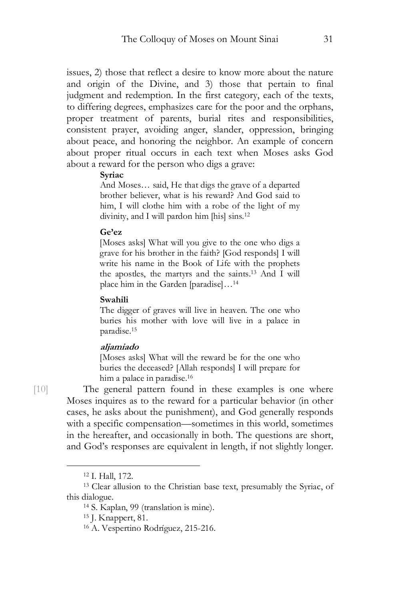issues, 2) those that reflect a desire to know more about the nature and origin of the Divine, and 3) those that pertain to final judgment and redemption. In the first category, each of the texts, to differing degrees, emphasizes care for the poor and the orphans, proper treatment of parents, burial rites and responsibilities, consistent prayer, avoiding anger, slander, oppression, bringing about peace, and honoring the neighbor. An example of concern about proper ritual occurs in each text when Moses asks God about a reward for the person who digs a grave:

#### **Syriac**

And Moses… said, He that digs the grave of a departed brother believer, what is his reward? And God said to him, I will clothe him with a robe of the light of my divinity, and I will pardon him [his] sins.<sup>12</sup>

#### **Ge'ez**

[Moses asks] What will you give to the one who digs a grave for his brother in the faith? [God responds] I will write his name in the Book of Life with the prophets the apostles, the martyrs and the saints.13 And I will place him in the Garden [paradise]…<sup>14</sup>

#### **Swahili**

The digger of graves will live in heaven. The one who buries his mother with love will live in a palace in paradise.<sup>15</sup>

#### **aljamiado**

[Moses asks] What will the reward be for the one who buries the deceased? [Allah responds] I will prepare for him a palace in paradise.<sup>16</sup>

[10] The general pattern found in these examples is one where Moses inquires as to the reward for a particular behavior (in other cases, he asks about the punishment), and God generally responds with a specific compensation—sometimes in this world, sometimes in the hereafter, and occasionally in both. The questions are short, and God's responses are equivalent in length, if not slightly longer.

 <sup>12</sup> I. Hall, 172.

<sup>13</sup> Clear allusion to the Christian base text, presumably the Syriac, of this dialogue.<br><sup>14</sup> S. Kaplan, 99 (translation is mine).

<sup>15</sup> J. Knappert, 81.

<sup>16</sup> A. Vespertino Rodríguez, 215-216.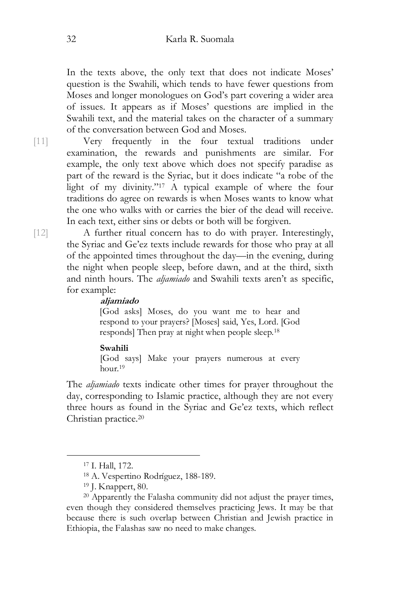In the texts above, the only text that does not indicate Moses' question is the Swahili, which tends to have fewer questions from Moses and longer monologues on God's part covering a wider area of issues. It appears as if Moses' questions are implied in the Swahili text, and the material takes on the character of a summary of the conversation between God and Moses.

[11] Very frequently in the four textual traditions under examination, the rewards and punishments are similar. For example, the only text above which does not specify paradise as part of the reward is the Syriac, but it does indicate "a robe of the light of my divinity."17 A typical example of where the four traditions do agree on rewards is when Moses wants to know what the one who walks with or carries the bier of the dead will receive. In each text, either sins or debts or both will be forgiven.

[12] A further ritual concern has to do with prayer. Interestingly, the Syriac and Ge'ez texts include rewards for those who pray at all of the appointed times throughout the day—in the evening, during the night when people sleep, before dawn, and at the third, sixth and ninth hours. The *aljamiado* and Swahili texts aren't as specific, for example:

#### **aljamiado**

[God asks] Moses, do you want me to hear and respond to your prayers? [Moses] said, Yes, Lord. [God responds] Then pray at night when people sleep.18

#### **Swahili**

[God says] Make your prayers numerous at every hour.<sup>19</sup>

The *aljamiado* texts indicate other times for prayer throughout the day, corresponding to Islamic practice, although they are not every three hours as found in the Syriac and Ge'ez texts, which reflect Christian practice.20

 <sup>17</sup> I. Hall, 172.

<sup>18</sup> A. Vespertino Rodríguez, 188-189.

<sup>19</sup> J. Knappert, 80.

<sup>&</sup>lt;sup>20</sup> Apparently the Falasha community did not adjust the prayer times, even though they considered themselves practicing Jews. It may be that because there is such overlap between Christian and Jewish practice in Ethiopia, the Falashas saw no need to make changes.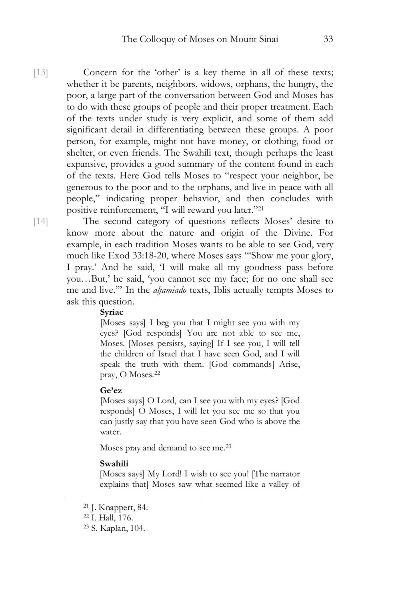[13] Concern for the 'other' is a key theme in all of these texts; whether it be parents, neighbors. widows, orphans, the hungry, the poor, a large part of the conversation between God and Moses has to do with these groups of people and their proper treatment. Each of the texts under study is very explicit, and some of them add significant detail in differentiating between these groups. A poor person, for example, might not have money, or clothing, food or shelter, or even friends. The Swahili text, though perhaps the least expansive, provides a good summary of the content found in each of the texts. Here God tells Moses to "respect your neighbor, be generous to the poor and to the orphans, and live in peace with all people," indicating proper behavior, and then concludes with positive reinforcement, "I will reward you later."21

[14] The second category of questions reflects Moses' desire to know more about the nature and origin of the Divine. For example, in each tradition Moses wants to be able to see God, very much like Exod 33:18-20, where Moses says "'Show me your glory, I pray.' And he said, 'I will make all my goodness pass before you…But,' he said, 'you cannot see my face; for no one shall see me and live.'" In the *aljamiado* texts, Iblis actually tempts Moses to ask this question.

#### **Syriac**

[Moses says] I beg you that I might see you with my eyes? [God responds] You are not able to see me, Moses. [Moses persists, saying] If I see you, I will tell the children of Israel that I have seen God, and I will speak the truth with them. [God commands] Arise, pray, O Moses.<sup>22</sup>

#### **Ge'ez**

[Moses says] O Lord, can I see you with my eyes? [God responds] O Moses, I will let you see me so that you can justly say that you have seen God who is above the water.

Moses pray and demand to see me.<sup>23</sup>

#### **Swahili**

[Moses says] My Lord! I wish to see you! [The narrator explains that] Moses saw what seemed like a valley of

 <sup>21</sup> J. Knappert, 84.

<sup>22</sup> I. Hall, 176.

<sup>23</sup> S. Kaplan, 104.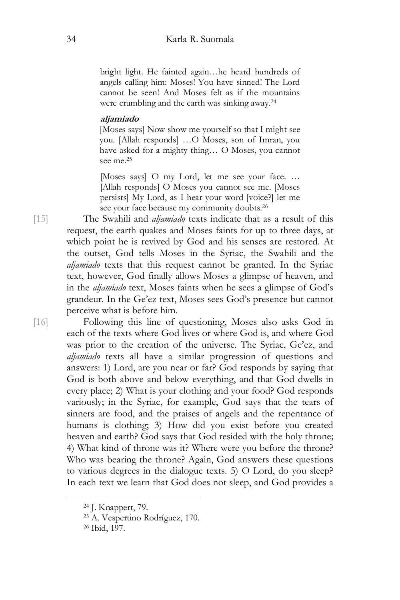bright light. He fainted again…he heard hundreds of angels calling him: Moses! You have sinned! The Lord cannot be seen! And Moses felt as if the mountains were crumbling and the earth was sinking away.<sup>24</sup>

#### **aljamiado**

[Moses says] Now show me yourself so that I might see you. [Allah responds] …O Moses, son of Imran, you have asked for a mighty thing… O Moses, you cannot see me.<sup>25</sup>

[Moses says] O my Lord, let me see your face. … [Allah responds] O Moses you cannot see me. [Moses persists] My Lord, as I hear your word [voice?] let me see your face because my community doubts.<sup>26</sup>

[15] The Swahili and *aljamiado* texts indicate that as a result of this request, the earth quakes and Moses faints for up to three days, at which point he is revived by God and his senses are restored. At the outset, God tells Moses in the Syriac, the Swahili and the *aljamiado* texts that this request cannot be granted. In the Syriac text, however, God finally allows Moses a glimpse of heaven, and in the *aljamiado* text, Moses faints when he sees a glimpse of God's grandeur. In the Ge'ez text, Moses sees God's presence but cannot perceive what is before him.

[16] Following this line of questioning, Moses also asks God in each of the texts where God lives or where God is, and where God was prior to the creation of the universe. The Syriac, Ge'ez, and *aljamiado* texts all have a similar progression of questions and answers: 1) Lord, are you near or far? God responds by saying that God is both above and below everything, and that God dwells in every place; 2) What is your clothing and your food? God responds variously; in the Syriac, for example, God says that the tears of sinners are food, and the praises of angels and the repentance of humans is clothing; 3) How did you exist before you created heaven and earth? God says that God resided with the holy throne; 4) What kind of throne was it? Where were you before the throne? Who was bearing the throne? Again, God answers these questions to various degrees in the dialogue texts. 5) O Lord, do you sleep? In each text we learn that God does not sleep, and God provides a

 <sup>24</sup> J. Knappert, 79.

<sup>25</sup> A. Vespertino Rodríguez, 170.

<sup>26</sup> Ibid, 197.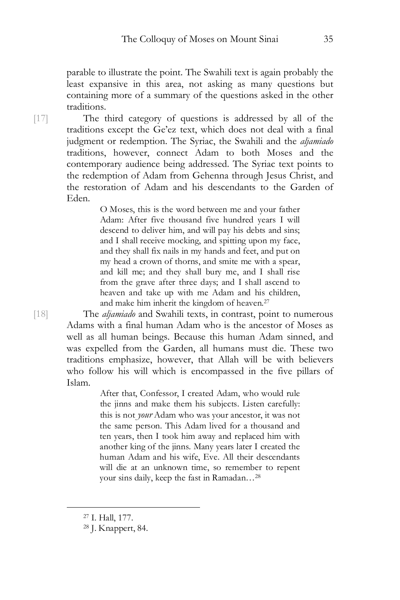parable to illustrate the point. The Swahili text is again probably the least expansive in this area, not asking as many questions but containing more of a summary of the questions asked in the other traditions.

[17] The third category of questions is addressed by all of the traditions except the Ge'ez text, which does not deal with a final judgment or redemption. The Syriac, the Swahili and the *aljamiado* traditions, however, connect Adam to both Moses and the contemporary audience being addressed. The Syriac text points to the redemption of Adam from Gehenna through Jesus Christ, and the restoration of Adam and his descendants to the Garden of Eden.

> O Moses, this is the word between me and your father Adam: After five thousand five hundred years I will descend to deliver him, and will pay his debts and sins; and I shall receive mocking, and spitting upon my face, and they shall fix nails in my hands and feet, and put on my head a crown of thorns, and smite me with a spear, and kill me; and they shall bury me, and I shall rise from the grave after three days; and I shall ascend to heaven and take up with me Adam and his children, and make him inherit the kingdom of heaven.<sup>27</sup>

[18] The *aljamiado* and Swahili texts, in contrast, point to numerous Adams with a final human Adam who is the ancestor of Moses as well as all human beings. Because this human Adam sinned, and was expelled from the Garden, all humans must die. These two traditions emphasize, however, that Allah will be with believers who follow his will which is encompassed in the five pillars of Islam.

> After that, Confessor, I created Adam, who would rule the jinns and make them his subjects. Listen carefully: this is not *your* Adam who was your ancestor, it was not the same person. This Adam lived for a thousand and ten years, then I took him away and replaced him with another king of the jinns. Many years later I created the human Adam and his wife, Eve. All their descendants will die at an unknown time, so remember to repent your sins daily, keep the fast in Ramadan…<sup>28</sup>

 <sup>27</sup> I. Hall, 177.

<sup>28</sup> J. Knappert, 84.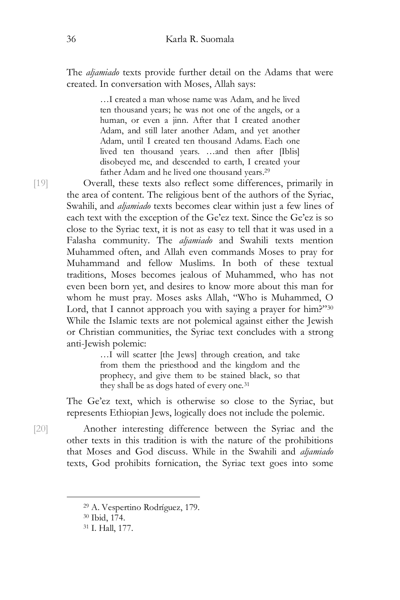The *aljamiado* texts provide further detail on the Adams that were created. In conversation with Moses, Allah says:

> …I created a man whose name was Adam, and he lived ten thousand years; he was not one of the angels, or a human, or even a jinn. After that I created another Adam, and still later another Adam, and yet another Adam, until I created ten thousand Adams. Each one lived ten thousand years. …and then after [Iblis] disobeyed me, and descended to earth, I created your father Adam and he lived one thousand years.<sup>29</sup>

[19] Overall, these texts also reflect some differences, primarily in the area of content. The religious bent of the authors of the Syriac, Swahili, and *aljamiado* texts becomes clear within just a few lines of each text with the exception of the Ge'ez text. Since the Ge'ez is so close to the Syriac text, it is not as easy to tell that it was used in a Falasha community. The *aljamiado* and Swahili texts mention Muhammed often, and Allah even commands Moses to pray for Muhammand and fellow Muslims. In both of these textual traditions, Moses becomes jealous of Muhammed, who has not even been born yet, and desires to know more about this man for whom he must pray. Moses asks Allah, "Who is Muhammed, O Lord, that I cannot approach you with saying a prayer for him?"30 While the Islamic texts are not polemical against either the Jewish or Christian communities, the Syriac text concludes with a strong anti-Jewish polemic:

…I will scatter [the Jews] through creation, and take from them the priesthood and the kingdom and the prophecy, and give them to be stained black, so that they shall be as dogs hated of every one.<sup>31</sup>

The Ge'ez text, which is otherwise so close to the Syriac, but represents Ethiopian Jews, logically does not include the polemic.

[20] Another interesting difference between the Syriac and the other texts in this tradition is with the nature of the prohibitions that Moses and God discuss. While in the Swahili and *aljamiado* texts, God prohibits fornication, the Syriac text goes into some

 <sup>29</sup> A. Vespertino Rodríguez, 179.

<sup>30</sup> Ibid, 174.

<sup>31</sup> I. Hall, 177.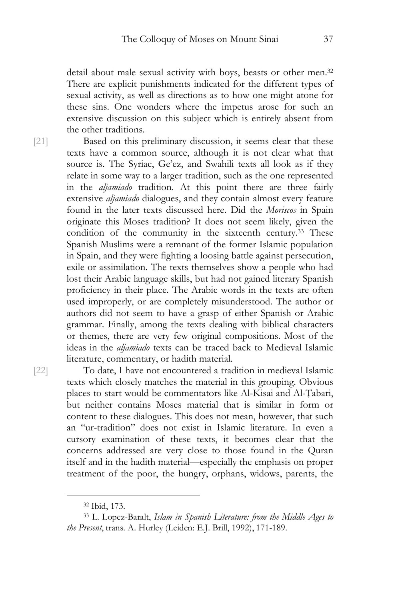detail about male sexual activity with boys, beasts or other men.32 There are explicit punishments indicated for the different types of sexual activity, as well as directions as to how one might atone for these sins. One wonders where the impetus arose for such an extensive discussion on this subject which is entirely absent from the other traditions.

[21] Based on this preliminary discussion, it seems clear that these texts have a common source, although it is not clear what that source is. The Syriac, Ge'ez, and Swahili texts all look as if they relate in some way to a larger tradition, such as the one represented in the *aljamiado* tradition. At this point there are three fairly extensive *aljamiado* dialogues, and they contain almost every feature found in the later texts discussed here. Did the *Moriscos* in Spain originate this Moses tradition? It does not seem likely, given the condition of the community in the sixteenth century.33 These Spanish Muslims were a remnant of the former Islamic population in Spain, and they were fighting a loosing battle against persecution, exile or assimilation. The texts themselves show a people who had lost their Arabic language skills, but had not gained literary Spanish proficiency in their place. The Arabic words in the texts are often used improperly, or are completely misunderstood. The author or authors did not seem to have a grasp of either Spanish or Arabic grammar. Finally, among the texts dealing with biblical characters or themes, there are very few original compositions. Most of the ideas in the *aljamiado* texts can be traced back to Medieval Islamic literature, commentary, or hadith material.

[22] To date, I have not encountered a tradition in medieval Islamic texts which closely matches the material in this grouping. Obvious places to start would be commentators like Al-Kisai and Al-Ṭabari, but neither contains Moses material that is similar in form or content to these dialogues. This does not mean, however, that such an "ur-tradition" does not exist in Islamic literature. In even a cursory examination of these texts, it becomes clear that the concerns addressed are very close to those found in the Quran itself and in the hadith material—especially the emphasis on proper treatment of the poor, the hungry, orphans, widows, parents, the

 <sup>32</sup> Ibid, 173.

<sup>33</sup> L. Lopez-Baralt, *Islam in Spanish Literature: from the Middle Ages to the Present*, trans. A. Hurley (Leiden: E.J. Brill, 1992), 171-189.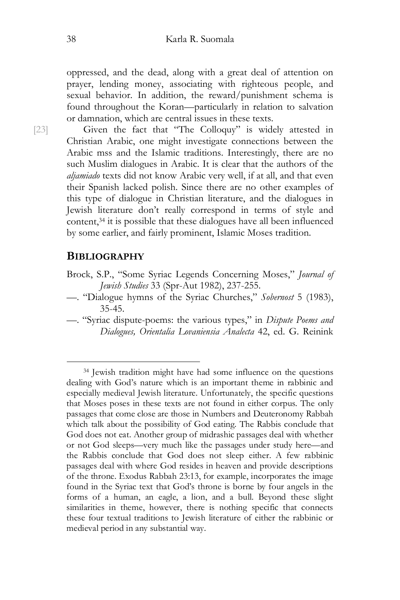oppressed, and the dead, along with a great deal of attention on prayer, lending money, associating with righteous people, and sexual behavior. In addition, the reward/punishment schema is found throughout the Koran—particularly in relation to salvation or damnation, which are central issues in these texts.

[23] Given the fact that "The Colloquy" is widely attested in Christian Arabic, one might investigate connections between the Arabic mss and the Islamic traditions. Interestingly, there are no such Muslim dialogues in Arabic. It is clear that the authors of the *aljamiado* texts did not know Arabic very well, if at all, and that even their Spanish lacked polish. Since there are no other examples of this type of dialogue in Christian literature, and the dialogues in Jewish literature don't really correspond in terms of style and content,34 it is possible that these dialogues have all been influenced by some earlier, and fairly prominent, Islamic Moses tradition.

### **BIBLIOGRAPHY**

- Brock, S.P., "Some Syriac Legends Concerning Moses," *Journal of Jewish Studies* 33 (Spr-Aut 1982), 237-255.
- —. "Dialogue hymns of the Syriac Churches," *Sobernost* 5 (1983), 35-45.
- —. "Syriac dispute-poems: the various types," in *Dispute Poems and Dialogues, Orientalia Lovaniensia Analecta* 42, ed. G. Reinink

 <sup>34</sup> Jewish tradition might have had some influence on the questions dealing with God's nature which is an important theme in rabbinic and especially medieval Jewish literature. Unfortunately, the specific questions that Moses poses in these texts are not found in either corpus. The only passages that come close are those in Numbers and Deuteronomy Rabbah which talk about the possibility of God eating. The Rabbis conclude that God does not eat. Another group of midrashic passages deal with whether or not God sleeps—very much like the passages under study here—and the Rabbis conclude that God does not sleep either. A few rabbinic passages deal with where God resides in heaven and provide descriptions of the throne. Exodus Rabbah 23:13, for example, incorporates the image found in the Syriac text that God's throne is borne by four angels in the forms of a human, an eagle, a lion, and a bull. Beyond these slight similarities in theme, however, there is nothing specific that connects these four textual traditions to Jewish literature of either the rabbinic or medieval period in any substantial way.